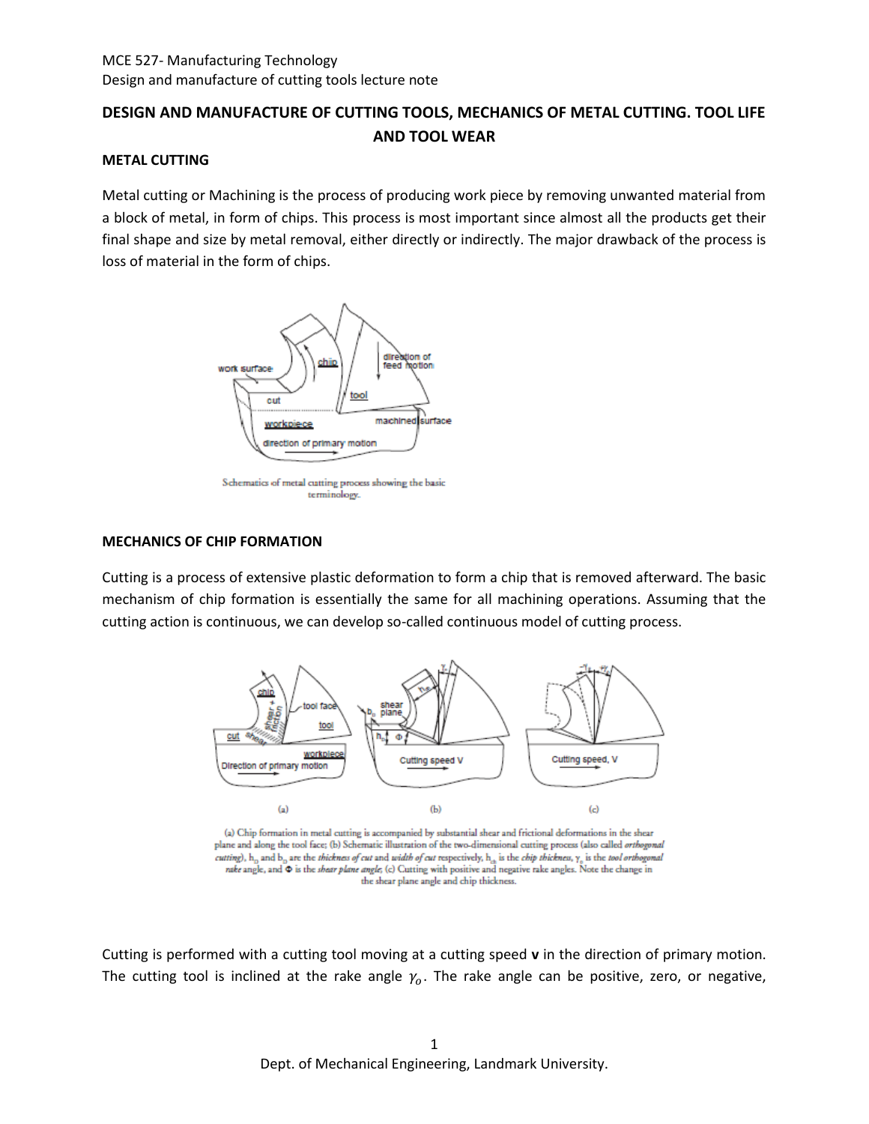# **DESIGN AND MANUFACTURE OF CUTTING TOOLS, MECHANICS OF METAL CUTTING. TOOL LIFE AND TOOL WEAR**

#### **METAL CUTTING**

Metal cutting or Machining is the process of producing work piece by removing unwanted material from a block of metal, in form of chips. This process is most important since almost all the products get their final shape and size by metal removal, either directly or indirectly. The major drawback of the process is loss of material in the form of chips.



Schematics of metal cutting process showing the basic terminology.

#### **MECHANICS OF CHIP FORMATION**

Cutting is a process of extensive plastic deformation to form a chip that is removed afterward. The basic mechanism of chip formation is essentially the same for all machining operations. Assuming that the cutting action is continuous, we can develop so-called continuous model of cutting process.



(a) Chip formation in metal cutting is accompanied by substantial shear and frictional deformations in the shear plane and along the tool face; (b) Schematic illustration of the two-dimensional cutting process (also called orthogonal cutting),  $h_0$  and  $b_0$  are the thickness of cut and width of cut respectively,  $h_{ab}$  is the chip thickness,  $\gamma_o$  is the tool orthogonal rake angle, and  $\Phi$  is the *shear plane angle*; (c) Cutting with positive and negative rake angles. Note the change in the shear plane angle and chip thickness.

Cutting is performed with a cutting tool moving at a cutting speed **v** in the direction of primary motion. The cutting tool is inclined at the rake angle  $\gamma_o$ . The rake angle can be positive, zero, or negative,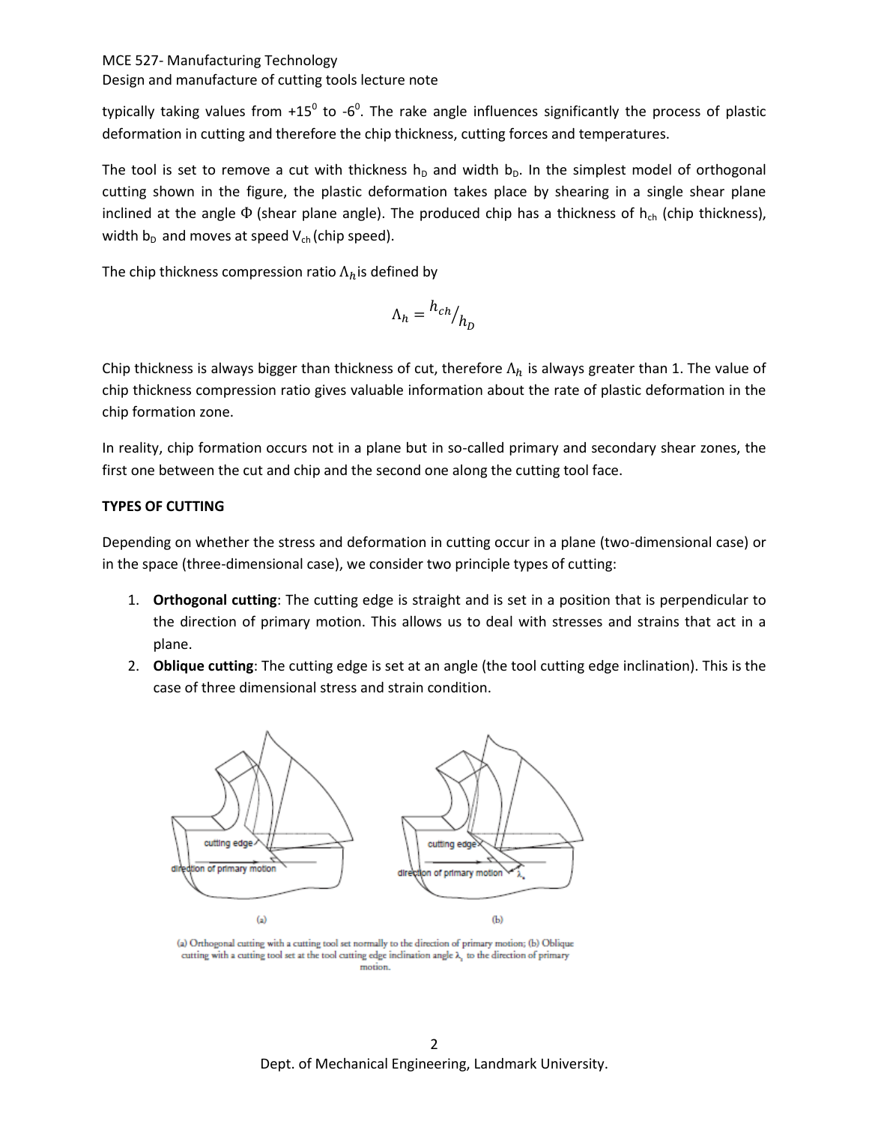typically taking values from +15<sup>0</sup> to -6<sup>0</sup>. The rake angle influences significantly the process of plastic deformation in cutting and therefore the chip thickness, cutting forces and temperatures.

The tool is set to remove a cut with thickness  $h_D$  and width  $b_D$ . In the simplest model of orthogonal cutting shown in the figure, the plastic deformation takes place by shearing in a single shear plane inclined at the angle  $\Phi$  (shear plane angle). The produced chip has a thickness of  $h_{ch}$  (chip thickness), width  $b_D$  and moves at speed  $V_{ch}$  (chip speed).

The chip thickness compression ratio  $\Lambda_h$  is defined by

$$
\Lambda_h = {h_{ch}}/{h_D}
$$

Chip thickness is always bigger than thickness of cut, therefore  $\Lambda_h$  is always greater than 1. The value of chip thickness compression ratio gives valuable information about the rate of plastic deformation in the chip formation zone.

In reality, chip formation occurs not in a plane but in so-called primary and secondary shear zones, the first one between the cut and chip and the second one along the cutting tool face.

## **TYPES OF CUTTING**

Depending on whether the stress and deformation in cutting occur in a plane (two-dimensional case) or in the space (three-dimensional case), we consider two principle types of cutting:

- 1. **Orthogonal cutting**: The cutting edge is straight and is set in a position that is perpendicular to the direction of primary motion. This allows us to deal with stresses and strains that act in a plane.
- 2. **Oblique cutting**: The cutting edge is set at an angle (the tool cutting edge inclination). This is the case of three dimensional stress and strain condition.



(a) Orthogonal cutting with a cutting tool set normally to the direction of primary motion; (b) Oblique cutting with a cutting tool set at the tool cutting edge inclination angle  $\lambda$ , to the direction of primary motion.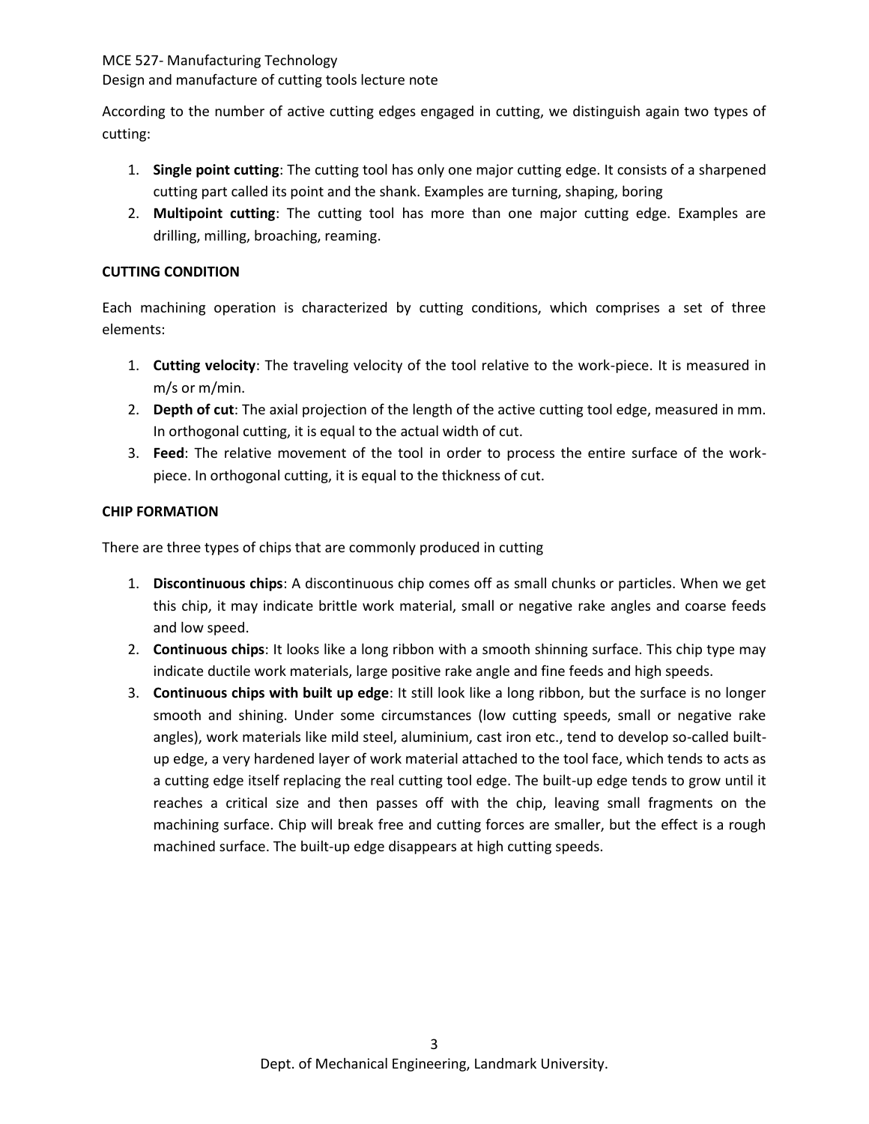Design and manufacture of cutting tools lecture note

According to the number of active cutting edges engaged in cutting, we distinguish again two types of cutting:

- 1. **Single point cutting**: The cutting tool has only one major cutting edge. It consists of a sharpened cutting part called its point and the shank. Examples are turning, shaping, boring
- 2. **Multipoint cutting**: The cutting tool has more than one major cutting edge. Examples are drilling, milling, broaching, reaming.

## **CUTTING CONDITION**

Each machining operation is characterized by cutting conditions, which comprises a set of three elements:

- 1. **Cutting velocity**: The traveling velocity of the tool relative to the work-piece. It is measured in m/s or m/min.
- 2. **Depth of cut**: The axial projection of the length of the active cutting tool edge, measured in mm. In orthogonal cutting, it is equal to the actual width of cut.
- 3. **Feed**: The relative movement of the tool in order to process the entire surface of the workpiece. In orthogonal cutting, it is equal to the thickness of cut.

## **CHIP FORMATION**

There are three types of chips that are commonly produced in cutting

- 1. **Discontinuous chips**: A discontinuous chip comes off as small chunks or particles. When we get this chip, it may indicate brittle work material, small or negative rake angles and coarse feeds and low speed.
- 2. **Continuous chips**: It looks like a long ribbon with a smooth shinning surface. This chip type may indicate ductile work materials, large positive rake angle and fine feeds and high speeds.
- 3. **Continuous chips with built up edge**: It still look like a long ribbon, but the surface is no longer smooth and shining. Under some circumstances (low cutting speeds, small or negative rake angles), work materials like mild steel, aluminium, cast iron etc., tend to develop so-called builtup edge, a very hardened layer of work material attached to the tool face, which tends to acts as a cutting edge itself replacing the real cutting tool edge. The built-up edge tends to grow until it reaches a critical size and then passes off with the chip, leaving small fragments on the machining surface. Chip will break free and cutting forces are smaller, but the effect is a rough machined surface. The built-up edge disappears at high cutting speeds.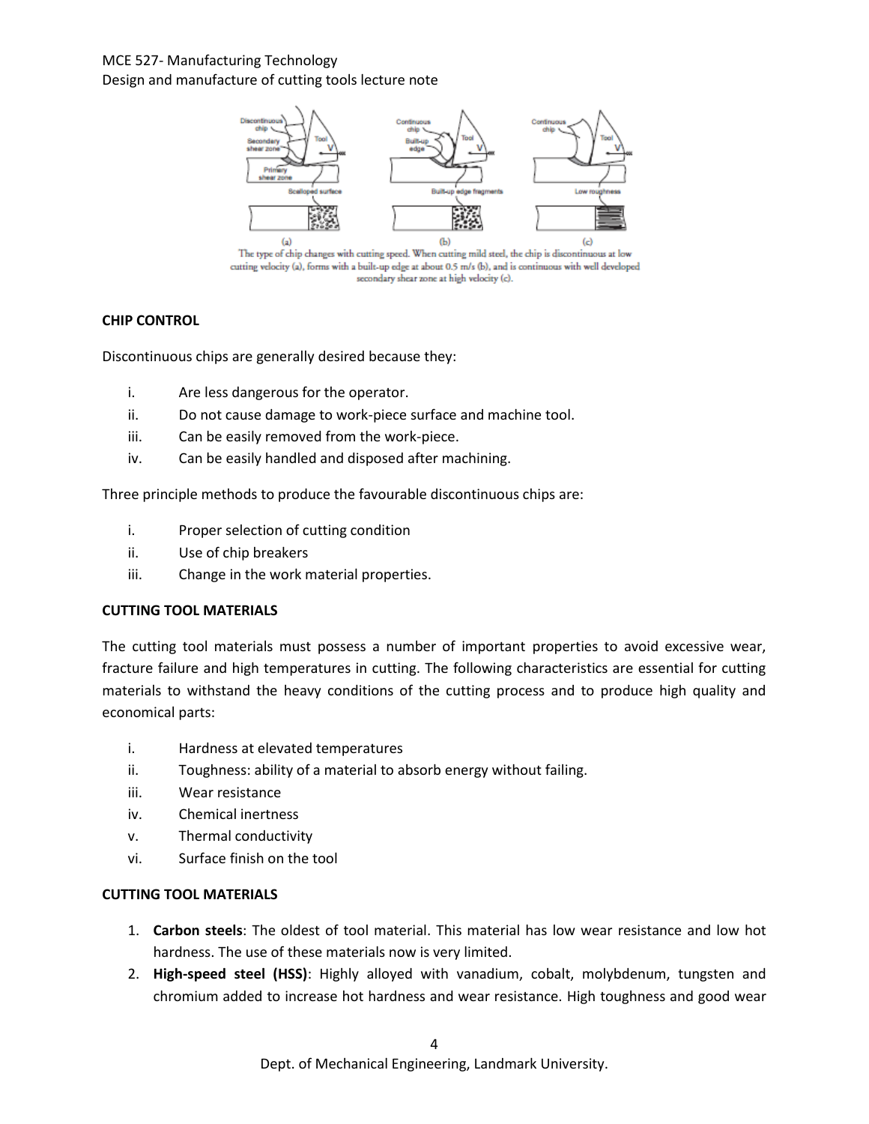## MCE 527- Manufacturing Technology Design and manufacture of cutting tools lecture note



The type of chip changes with cutting speed. When cutting mild steel, the chip is discontinuous at low cutting velocity (a), forms with a built-up edge at about 0.5 m/s (b), and is continuous with well developed secondary shear zone at high velocity (c).

## **CHIP CONTROL**

Discontinuous chips are generally desired because they:

- i. Are less dangerous for the operator.
- ii. Do not cause damage to work-piece surface and machine tool.
- iii. Can be easily removed from the work-piece.
- iv. Can be easily handled and disposed after machining.

Three principle methods to produce the favourable discontinuous chips are:

- i. Proper selection of cutting condition
- ii. Use of chip breakers
- iii. Change in the work material properties.

#### **CUTTING TOOL MATERIALS**

The cutting tool materials must possess a number of important properties to avoid excessive wear, fracture failure and high temperatures in cutting. The following characteristics are essential for cutting materials to withstand the heavy conditions of the cutting process and to produce high quality and economical parts:

- i. Hardness at elevated temperatures
- ii. Toughness: ability of a material to absorb energy without failing.
- iii. Wear resistance
- iv. Chemical inertness
- v. Thermal conductivity
- vi. Surface finish on the tool

#### **CUTTING TOOL MATERIALS**

- 1. **Carbon steels**: The oldest of tool material. This material has low wear resistance and low hot hardness. The use of these materials now is very limited.
- 2. **High-speed steel (HSS)**: Highly alloyed with vanadium, cobalt, molybdenum, tungsten and chromium added to increase hot hardness and wear resistance. High toughness and good wear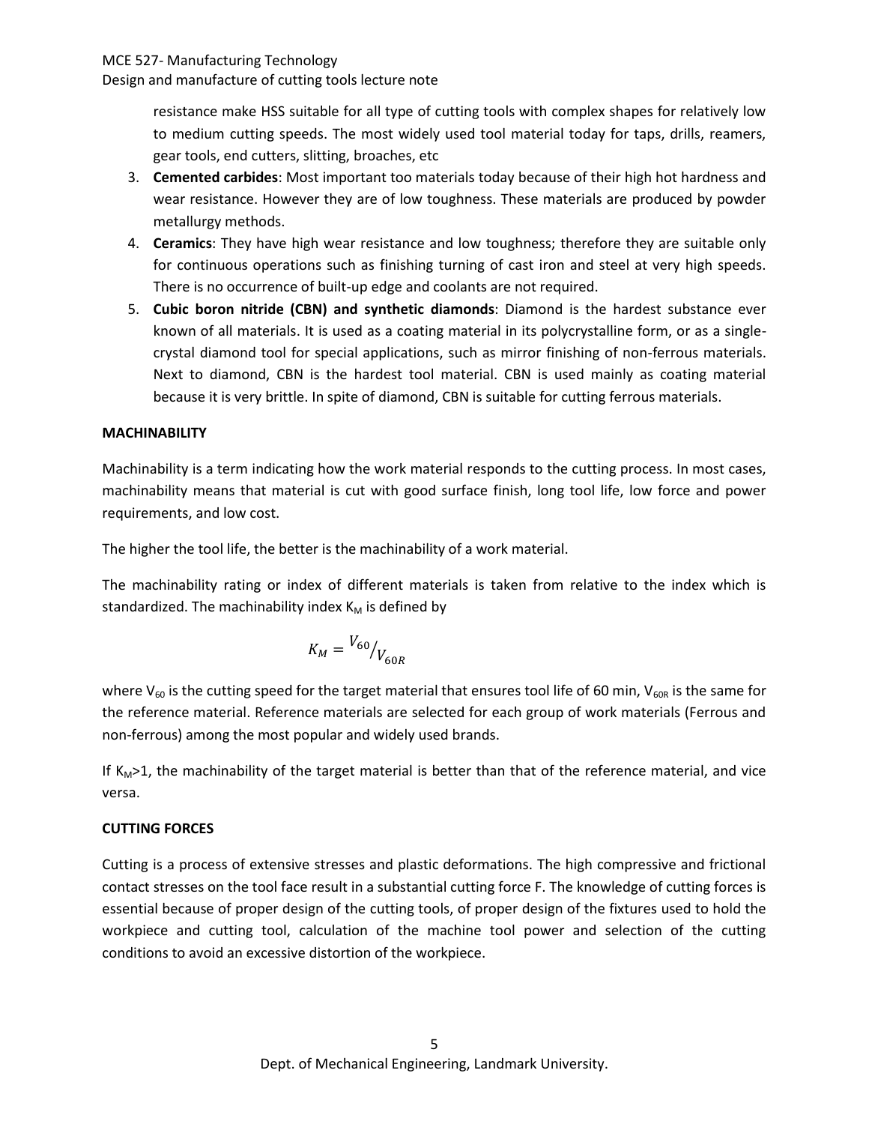Design and manufacture of cutting tools lecture note

resistance make HSS suitable for all type of cutting tools with complex shapes for relatively low to medium cutting speeds. The most widely used tool material today for taps, drills, reamers, gear tools, end cutters, slitting, broaches, etc

- 3. **Cemented carbides**: Most important too materials today because of their high hot hardness and wear resistance. However they are of low toughness. These materials are produced by powder metallurgy methods.
- 4. **Ceramics**: They have high wear resistance and low toughness; therefore they are suitable only for continuous operations such as finishing turning of cast iron and steel at very high speeds. There is no occurrence of built-up edge and coolants are not required.
- 5. **Cubic boron nitride (CBN) and synthetic diamonds**: Diamond is the hardest substance ever known of all materials. It is used as a coating material in its polycrystalline form, or as a singlecrystal diamond tool for special applications, such as mirror finishing of non-ferrous materials. Next to diamond, CBN is the hardest tool material. CBN is used mainly as coating material because it is very brittle. In spite of diamond, CBN is suitable for cutting ferrous materials.

#### **MACHINABILITY**

Machinability is a term indicating how the work material responds to the cutting process. In most cases, machinability means that material is cut with good surface finish, long tool life, low force and power requirements, and low cost.

The higher the tool life, the better is the machinability of a work material.

The machinability rating or index of different materials is taken from relative to the index which is standardized. The machinability index  $K_M$  is defined by

$$
K_M = {V_{60}}_{V_{60R}}
$$

where  $V_{60}$  is the cutting speed for the target material that ensures tool life of 60 min,  $V_{60R}$  is the same for the reference material. Reference materials are selected for each group of work materials (Ferrous and non-ferrous) among the most popular and widely used brands.

If  $K_M>1$ , the machinability of the target material is better than that of the reference material, and vice versa.

#### **CUTTING FORCES**

Cutting is a process of extensive stresses and plastic deformations. The high compressive and frictional contact stresses on the tool face result in a substantial cutting force F. The knowledge of cutting forces is essential because of proper design of the cutting tools, of proper design of the fixtures used to hold the workpiece and cutting tool, calculation of the machine tool power and selection of the cutting conditions to avoid an excessive distortion of the workpiece.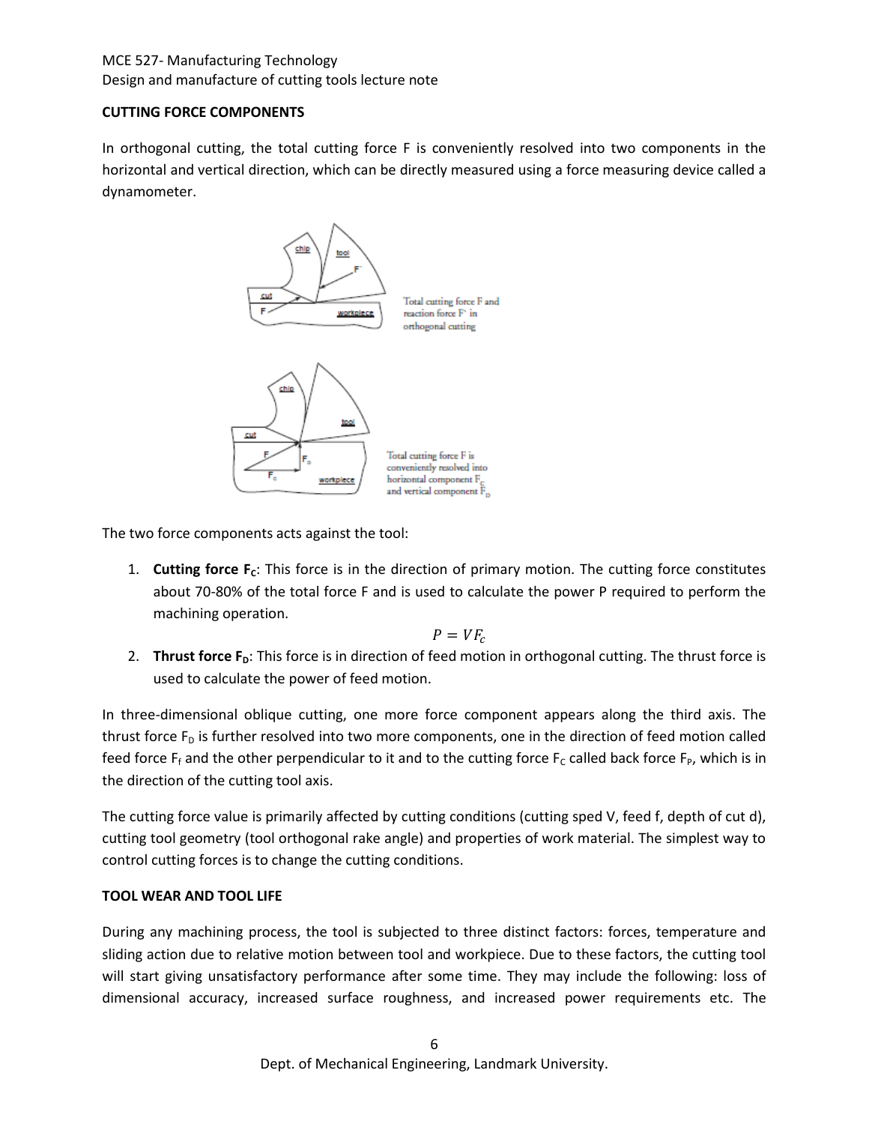## MCE 527- Manufacturing Technology Design and manufacture of cutting tools lecture note

## **CUTTING FORCE COMPONENTS**

In orthogonal cutting, the total cutting force F is conveniently resolved into two components in the horizontal and vertical direction, which can be directly measured using a force measuring device called a dynamometer.



The two force components acts against the tool:

1. **Cutting force F<sub>c</sub>:** This force is in the direction of primary motion. The cutting force constitutes about 70-80% of the total force F and is used to calculate the power P required to perform the machining operation.

$$
P = V F_c
$$

2. **Thrust force F<sub>D</sub>**: This force is in direction of feed motion in orthogonal cutting. The thrust force is used to calculate the power of feed motion.

In three-dimensional oblique cutting, one more force component appears along the third axis. The thrust force  $F<sub>D</sub>$  is further resolved into two more components, one in the direction of feed motion called feed force  $F_f$  and the other perpendicular to it and to the cutting force  $F_c$  called back force  $F_p$ , which is in the direction of the cutting tool axis.

The cutting force value is primarily affected by cutting conditions (cutting sped V, feed f, depth of cut d), cutting tool geometry (tool orthogonal rake angle) and properties of work material. The simplest way to control cutting forces is to change the cutting conditions.

## **TOOL WEAR AND TOOL LIFE**

During any machining process, the tool is subjected to three distinct factors: forces, temperature and sliding action due to relative motion between tool and workpiece. Due to these factors, the cutting tool will start giving unsatisfactory performance after some time. They may include the following: loss of dimensional accuracy, increased surface roughness, and increased power requirements etc. The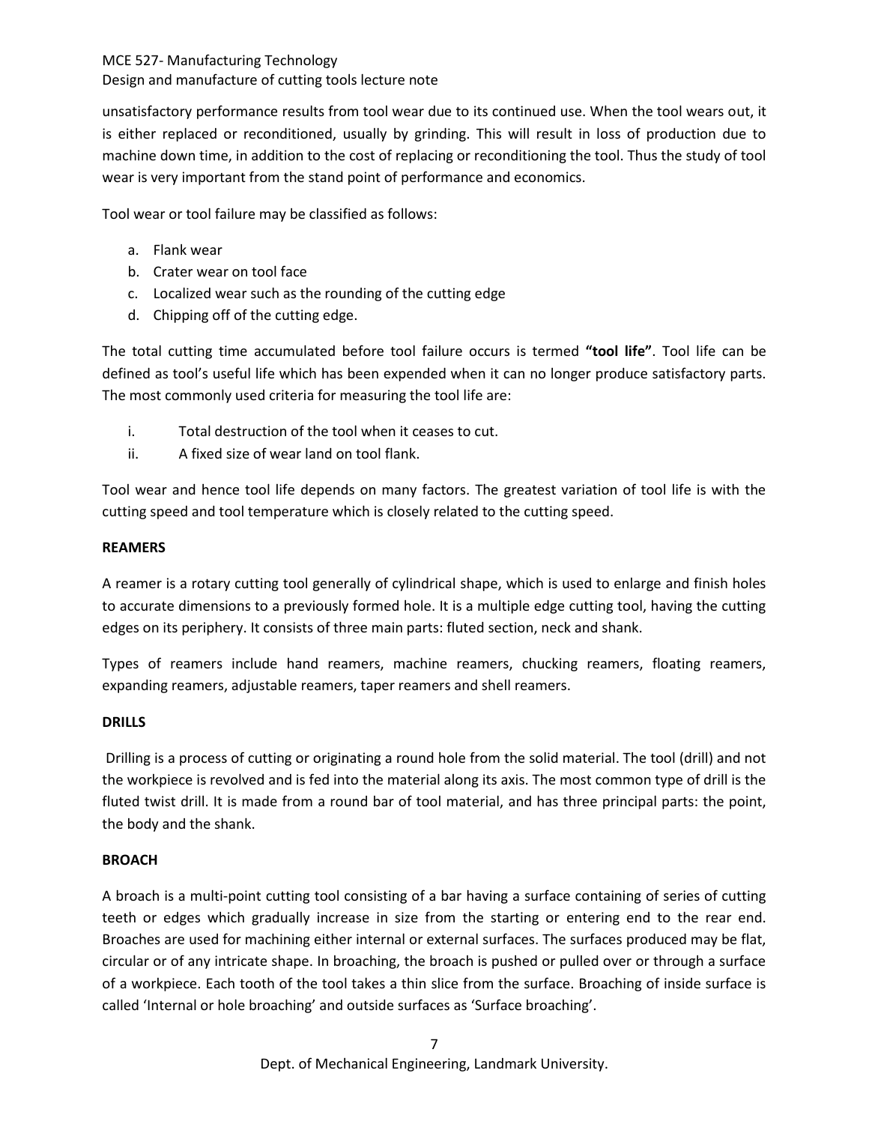#### Design and manufacture of cutting tools lecture note

unsatisfactory performance results from tool wear due to its continued use. When the tool wears out, it is either replaced or reconditioned, usually by grinding. This will result in loss of production due to machine down time, in addition to the cost of replacing or reconditioning the tool. Thus the study of tool wear is very important from the stand point of performance and economics.

Tool wear or tool failure may be classified as follows:

- a. Flank wear
- b. Crater wear on tool face
- c. Localized wear such as the rounding of the cutting edge
- d. Chipping off of the cutting edge.

The total cutting time accumulated before tool failure occurs is termed **"tool life"**. Tool life can be defined as tool's useful life which has been expended when it can no longer produce satisfactory parts. The most commonly used criteria for measuring the tool life are:

- i. Total destruction of the tool when it ceases to cut.
- ii. A fixed size of wear land on tool flank.

Tool wear and hence tool life depends on many factors. The greatest variation of tool life is with the cutting speed and tool temperature which is closely related to the cutting speed.

#### **REAMERS**

A reamer is a rotary cutting tool generally of cylindrical shape, which is used to enlarge and finish holes to accurate dimensions to a previously formed hole. It is a multiple edge cutting tool, having the cutting edges on its periphery. It consists of three main parts: fluted section, neck and shank.

Types of reamers include hand reamers, machine reamers, chucking reamers, floating reamers, expanding reamers, adjustable reamers, taper reamers and shell reamers.

#### **DRILLS**

Drilling is a process of cutting or originating a round hole from the solid material. The tool (drill) and not the workpiece is revolved and is fed into the material along its axis. The most common type of drill is the fluted twist drill. It is made from a round bar of tool material, and has three principal parts: the point, the body and the shank.

#### **BROACH**

A broach is a multi-point cutting tool consisting of a bar having a surface containing of series of cutting teeth or edges which gradually increase in size from the starting or entering end to the rear end. Broaches are used for machining either internal or external surfaces. The surfaces produced may be flat, circular or of any intricate shape. In broaching, the broach is pushed or pulled over or through a surface of a workpiece. Each tooth of the tool takes a thin slice from the surface. Broaching of inside surface is called 'Internal or hole broaching' and outside surfaces as 'Surface broaching'.